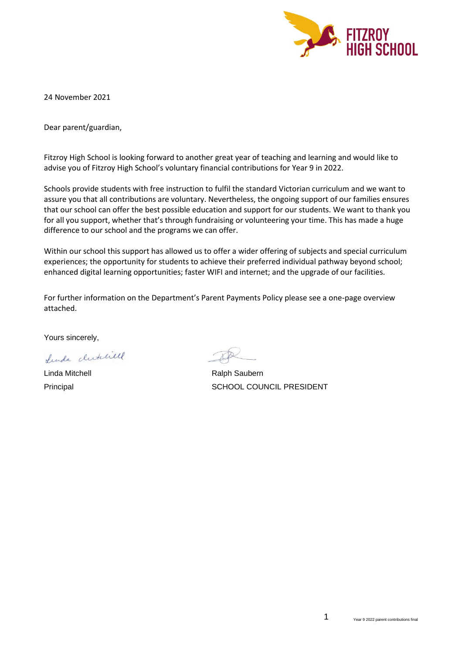

24 November 2021

Dear parent/guardian,

Fitzroy High School is looking forward to another great year of teaching and learning and would like to advise you of Fitzroy High School's voluntary financial contributions for Year 9 in 2022.

Schools provide students with free instruction to fulfil the standard Victorian curriculum and we want to assure you that all contributions are voluntary. Nevertheless, the ongoing support of our families ensures that our school can offer the best possible education and support for our students. We want to thank you for all you support, whether that's through fundraising or volunteering your time. This has made a huge difference to our school and the programs we can offer.

Within our school this support has allowed us to offer a wider offering of subjects and special curriculum experiences; the opportunity for students to achieve their preferred individual pathway beyond school; enhanced digital learning opportunities; faster WIFI and internet; and the upgrade of our facilities.

For further information on the Department's Parent Payments Policy please see a one-page overview attached.

Yours sincerely,

Lunda clublical

Linda Mitchell **Ralph Saubern** Ralph Saubern

Principal SCHOOL COUNCIL PRESIDENT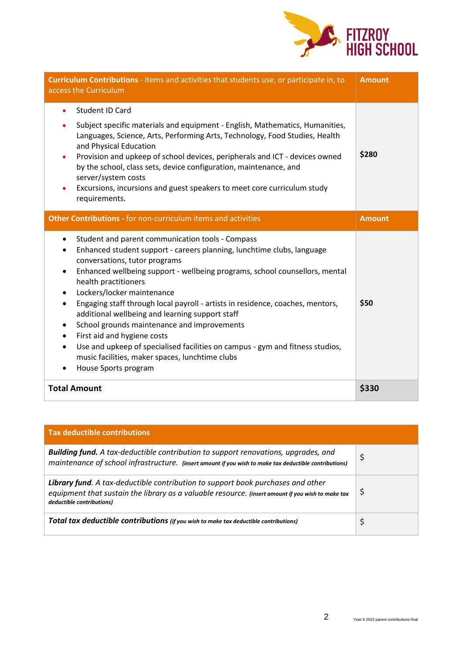

| Curriculum Contributions - items and activities that students use, or participate in, to<br>access the Curriculum                                                                                                                                                                                                                                                                                                                                                                                                                                                                                                                                                                         | <b>Amount</b> |
|-------------------------------------------------------------------------------------------------------------------------------------------------------------------------------------------------------------------------------------------------------------------------------------------------------------------------------------------------------------------------------------------------------------------------------------------------------------------------------------------------------------------------------------------------------------------------------------------------------------------------------------------------------------------------------------------|---------------|
| <b>Student ID Card</b><br>$\bullet$<br>Subject specific materials and equipment - English, Mathematics, Humanities,<br>Languages, Science, Arts, Performing Arts, Technology, Food Studies, Health<br>and Physical Education<br>Provision and upkeep of school devices, peripherals and ICT - devices owned<br>by the school, class sets, device configuration, maintenance, and<br>server/system costs<br>Excursions, incursions and guest speakers to meet core curriculum study<br>$\bullet$<br>requirements.                                                                                                                                                                          | \$280         |
| Other Contributions - for non-curriculum items and activities                                                                                                                                                                                                                                                                                                                                                                                                                                                                                                                                                                                                                             | <b>Amount</b> |
| Student and parent communication tools - Compass<br>٠<br>Enhanced student support - careers planning, lunchtime clubs, language<br>conversations, tutor programs<br>Enhanced wellbeing support - wellbeing programs, school counsellors, mental<br>health practitioners<br>Lockers/locker maintenance<br>Engaging staff through local payroll - artists in residence, coaches, mentors,<br>additional wellbeing and learning support staff<br>School grounds maintenance and improvements<br>First aid and hygiene costs<br>٠<br>Use and upkeep of specialised facilities on campus - gym and fitness studios,<br>music facilities, maker spaces, lunchtime clubs<br>House Sports program | \$50          |
| <b>Total Amount</b>                                                                                                                                                                                                                                                                                                                                                                                                                                                                                                                                                                                                                                                                       | \$330         |

| <b>Tax deductible contributions</b>                                                                                                                                                                               |    |
|-------------------------------------------------------------------------------------------------------------------------------------------------------------------------------------------------------------------|----|
| Building fund. A tax-deductible contribution to support renovations, upgrades, and<br>maintenance of school infrastructure. (insert amount if you wish to make tax deductible contributions)                      | \$ |
| Library fund. A tax-deductible contribution to support book purchases and other<br>equipment that sustain the library as a valuable resource. (insert amount if you wish to make tax<br>deductible contributions) | \$ |
| Total tax deductible contributions (if you wish to make tax deductible contributions)                                                                                                                             |    |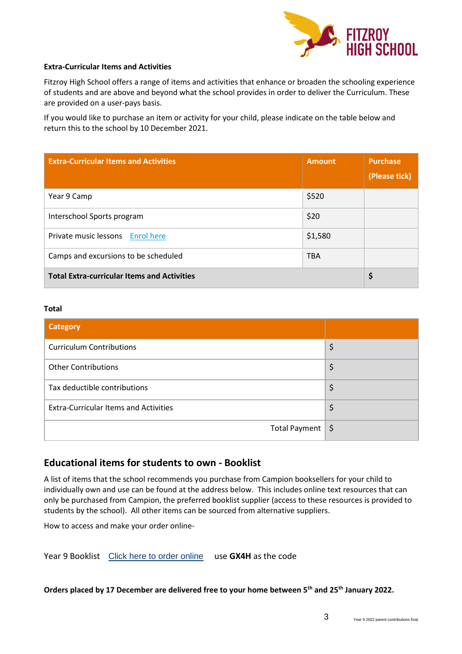

### **Extra-Curricular Items and Activities**

Fitzroy High School offers a range of items and activities that enhance or broaden the schooling experience of students and are above and beyond what the school provides in order to deliver the Curriculum. These are provided on a user-pays basis.

If you would like to purchase an item or activity for your child, please indicate on the table below and return this to the school by 10 December 2021.

| <b>Extra-Curricular Items and Activities</b>       | <b>Amount</b> | <b>Purchase</b><br>(Please tick) |
|----------------------------------------------------|---------------|----------------------------------|
| Year 9 Camp                                        | \$520         |                                  |
| Interschool Sports program                         | \$20          |                                  |
| Private music lessons Enrol here                   | \$1,580       |                                  |
| Camps and excursions to be scheduled               | <b>TBA</b>    |                                  |
| <b>Total Extra-curricular Items and Activities</b> |               | Ş                                |

#### **Total**

| <b>Category</b>                              |    |
|----------------------------------------------|----|
| <b>Curriculum Contributions</b>              |    |
| <b>Other Contributions</b>                   | \$ |
| Tax deductible contributions                 | \$ |
| <b>Extra-Curricular Items and Activities</b> | \$ |
| Total Payment   \$                           |    |

## **Educational items for students to own - Booklist**

A list of items that the school recommends you purchase from Campion booksellers for your child to individually own and use can be found at the address below. This includes online text resources that can only be purchased from Campion, the preferred booklist supplier (access to these resources is provided to students by the school). All other items can be sourced from alternative suppliers.

How to access and make your order online-

Year 9 Booklist [Click here to order online](https://order.campion.com.au/index.html#resourceListListView?code=P34YMWMC) use **GX4H** as the code

## **Orders placed by 17 December are delivered free to your home between 5th and 25th January 2022.**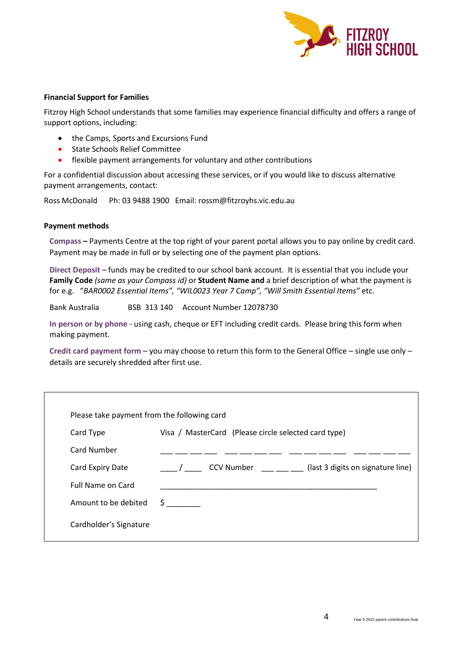

### **Financial Support for Families**

Fitzroy High School understands that some families may experience financial difficulty and offers a range of support options, including:

- the Camps, Sports and Excursions Fund
- State Schools Relief Committee
- flexible payment arrangements for voluntary and other contributions

For a confidential discussion about accessing these services, or if you would like to discuss alternative payment arrangements, contact:

Ross McDonald Ph: 03 9488 1900 Email: rossm@fitzroyhs.vic.edu.au

#### **Payment methods**

**Compass –** Payments Centre at the top right of your parent portal allows you to pay online by credit card. Payment may be made in full or by selecting one of the payment plan options.

**Direct Deposit** – funds may be credited to our school bank account. It is essential that you include your **Family Code** *(same as your Compass id)* or **Student Name and** a brief description of what the payment is for e.g. "*BAR0002 Essential Items", "WIL0023 Year 7 Camp", "Will Smith Essential Items"* etc.

Bank Australia BSB 313 140 Account Number 12078730

**In person or by phone** - using cash, cheque or EFT including credit cards. Please bring this form when making payment.

**Credit card payment form** – you may choose to return this form to the General Office – single use only – details are securely shredded after first use.

| Please take payment from the following card |                                                        |  |
|---------------------------------------------|--------------------------------------------------------|--|
| Card Type                                   | Visa / MasterCard (Please circle selected card type)   |  |
| <b>Card Number</b>                          |                                                        |  |
| Card Expiry Date                            | <b>CCV Number</b><br>(last 3 digits on signature line) |  |
| <b>Full Name on Card</b>                    |                                                        |  |
| Amount to be debited                        | S.                                                     |  |
| Cardholder's Signature                      |                                                        |  |